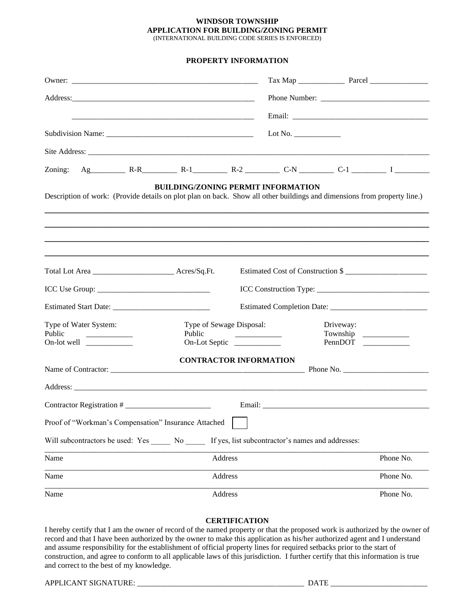## **WINDSOR TOWNSHIP APPLICATION FOR BUILDING/ZONING PERMIT** (INTERNATIONAL BUILDING CODE SERIES IS ENFORCED)

**PROPERTY INFORMATION**

|                                                                                                                             |                                                     | Lot No. $\_\_$                    |           |
|-----------------------------------------------------------------------------------------------------------------------------|-----------------------------------------------------|-----------------------------------|-----------|
|                                                                                                                             |                                                     |                                   |           |
| Zoning: Ag $R-R$ $R-1$ $R-2$ $C-N$ $C-1$ $I$                                                                                |                                                     |                                   |           |
| Description of work: (Provide details on plot plan on back. Show all other buildings and dimensions from property line.)    | <b>BUILDING/ZONING PERMIT INFORMATION</b>           |                                   |           |
|                                                                                                                             |                                                     |                                   |           |
|                                                                                                                             |                                                     |                                   |           |
|                                                                                                                             |                                                     | Estimated Cost of Construction \$ |           |
|                                                                                                                             |                                                     |                                   |           |
|                                                                                                                             |                                                     |                                   |           |
| Type of Water System:<br>Public<br>On-lot well $\frac{1}{\sqrt{1-\frac{1}{2}}}\left  \frac{1}{\sqrt{1-\frac{1}{2}}}\right $ | Type of Sewage Disposal:<br>Public<br>On-Lot Septic | Driveway:                         | PennDOT   |
|                                                                                                                             | <b>CONTRACTOR INFORMATION</b>                       |                                   |           |
|                                                                                                                             |                                                     |                                   |           |
|                                                                                                                             |                                                     |                                   |           |
|                                                                                                                             |                                                     |                                   |           |
| Proof of "Workman's Compensation" Insurance Attached                                                                        |                                                     |                                   |           |
| Will subcontractors be used: Yes ______ No ______ If yes, list subcontractor's names and addresses:                         |                                                     |                                   |           |
| Name                                                                                                                        | Address                                             |                                   | Phone No. |
| Name                                                                                                                        | Address                                             |                                   | Phone No. |
| Name                                                                                                                        | Address                                             |                                   | Phone No. |

## **CERTIFICATION**

I hereby certify that I am the owner of record of the named property or that the proposed work is authorized by the owner of record and that I have been authorized by the owner to make this application as his/her authorized agent and I understand and assume responsibility for the establishment of official property lines for required setbacks prior to the start of construction, and agree to conform to all applicable laws of this jurisdiction. I further certify that this information is true and correct to the best of my knowledge.